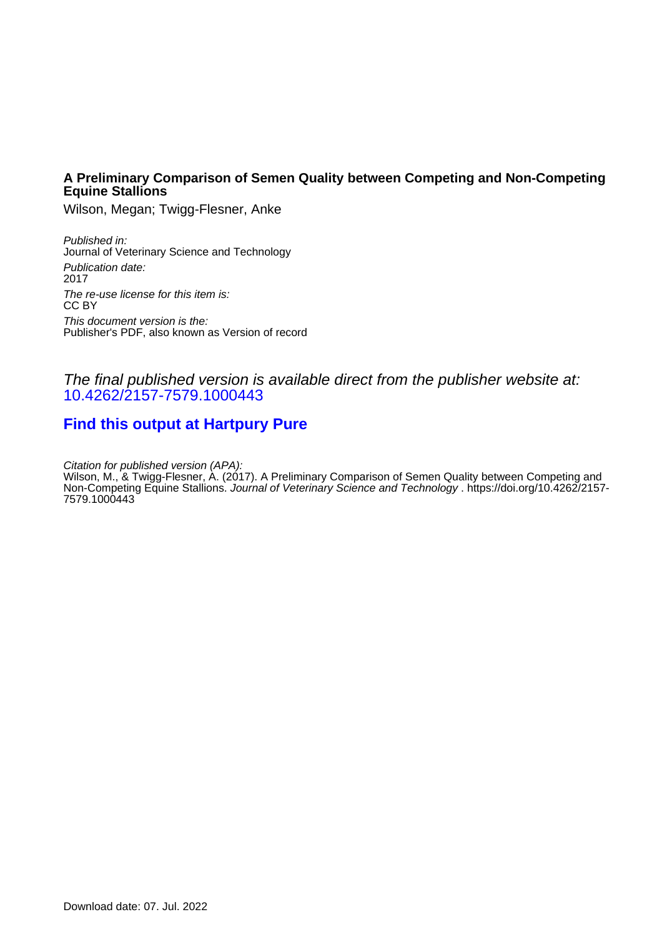## **A Preliminary Comparison of Semen Quality between Competing and Non-Competing Equine Stallions**

Wilson, Megan; Twigg-Flesner, Anke

Published in: Journal of Veterinary Science and Technology Publication date: 2017 The re-use license for this item is: CC BY This document version is the: Publisher's PDF, also known as Version of record

## The final published version is available direct from the publisher website at: [10.4262/2157-7579.1000443](https://doi.org/10.4262/2157-7579.1000443)

# **[Find this output at Hartpury Pure](https://hartpury.pure.elsevier.com/en/publications/36d5f450-cd39-421e-b00b-8201ff2b1ca9)**

Citation for published version (APA):

Wilson, M., & Twigg-Flesner, A. (2017). A Preliminary Comparison of Semen Quality between Competing and Non-Competing Equine Stallions. Journal of Veterinary Science and Technology . [https://doi.org/10.4262/2157-](https://doi.org/10.4262/2157-7579.1000443) [7579.1000443](https://doi.org/10.4262/2157-7579.1000443)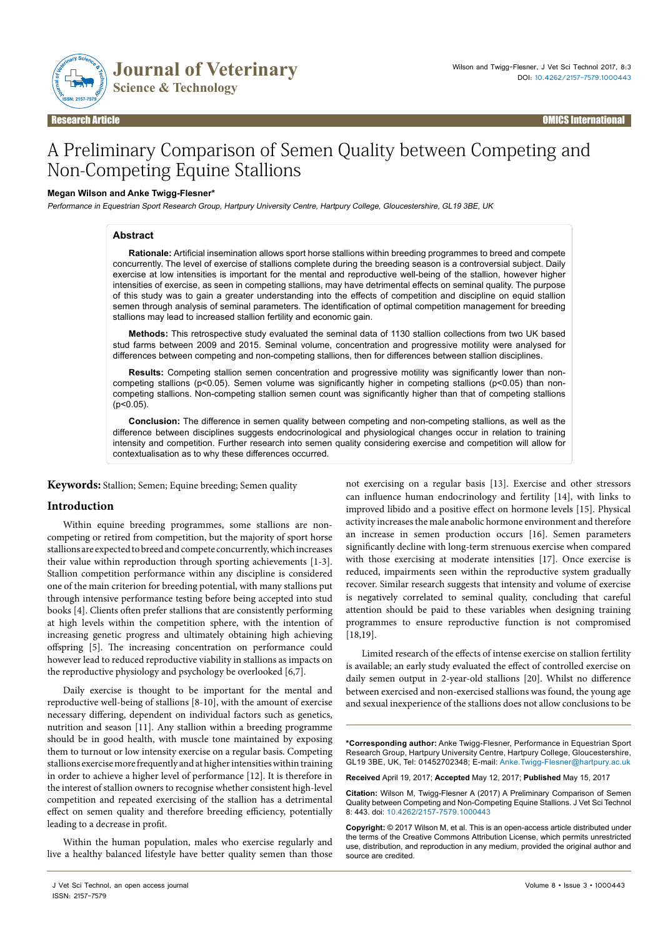

# A Preliminary Comparison of Semen Quality between Competing and Non-Competing Equine Stallions

#### **Megan Wilson and Anke Twigg-Flesner\***

Performance in Equestrian Sport Research Group, Hartpury University Centre, Hartpury College, Gloucestershire, GL19 3BE, UK

#### **Abstract**

**Rationale:** Artificial insemination allows sport horse stallions within breeding programmes to breed and compete concurrently. The level of exercise of stallions complete during the breeding season is a controversial subject. Daily exercise at low intensities is important for the mental and reproductive well-being of the stallion, however higher intensities of exercise, as seen in competing stallions, may have detrimental effects on seminal quality. The purpose of this study was to gain a greater understanding into the effects of competition and discipline on equid stallion semen through analysis of seminal parameters. The identification of optimal competition management for breeding stallions may lead to increased stallion fertility and economic gain.

**Methods:** This retrospective study evaluated the seminal data of 1130 stallion collections from two UK based stud farms between 2009 and 2015. Seminal volume, concentration and progressive motility were analysed for differences between competing and non-competing stallions, then for differences between stallion disciplines.

**Results:** Competing stallion semen concentration and progressive motility was significantly lower than noncompeting stallions (p<0.05). Semen volume was significantly higher in competing stallions (p<0.05) than noncompeting stallions. Non-competing stallion semen count was significantly higher than that of competing stallions (p<0.05).

**Conclusion:** The difference in semen quality between competing and non-competing stallions, as well as the difference between disciplines suggests endocrinological and physiological changes occur in relation to training intensity and competition. Further research into semen quality considering exercise and competition will allow for contextualisation as to why these differences occurred.

**Keywords:** Stallion; Semen; Equine breeding; Semen quality

### **Introduction**

Within equine breeding programmes, some stallions are noncompeting or retired from competition, but the majority of sport horse stallions are expected to breed and compete concurrently, which increases their value within reproduction through sporting achievements [1-3]. Stallion competition performance within any discipline is considered one of the main criterion for breeding potential, with many stallions put through intensive performance testing before being accepted into stud books [4]. Clients often prefer stallions that are consistently performing at high levels within the competition sphere, with the intention of increasing genetic progress and ultimately obtaining high achieving offspring [5]. The increasing concentration on performance could however lead to reduced reproductive viability in stallions as impacts on the reproductive physiology and psychology be overlooked [6,7].

Daily exercise is thought to be important for the mental and reproductive well-being of stallions [8-10], with the amount of exercise necessary differing, dependent on individual factors such as genetics, nutrition and season [11]. Any stallion within a breeding programme should be in good health, with muscle tone maintained by exposing them to turnout or low intensity exercise on a regular basis. Competing stallions exercise more frequently and at higher intensities within training in order to achieve a higher level of performance [12]. It is therefore in the interest of stallion owners to recognise whether consistent high-level competition and repeated exercising of the stallion has a detrimental effect on semen quality and therefore breeding efficiency, potentially leading to a decrease in profit.

Within the human population, males who exercise regularly and live a healthy balanced lifestyle have better quality semen than those not exercising on a regular basis [13]. Exercise and other stressors can influence human endocrinology and fertility [14], with links to improved libido and a positive effect on hormone levels [15]. Physical activity increases the male anabolic hormone environment and therefore an increase in semen production occurs [16]. Semen parameters significantly decline with long-term strenuous exercise when compared with those exercising at moderate intensities [17]. Once exercise is reduced, impairments seen within the reproductive system gradually recover. Similar research suggests that intensity and volume of exercise is negatively correlated to seminal quality, concluding that careful attention should be paid to these variables when designing training programmes to ensure reproductive function is not compromised [18,19].

Limited research of the effects of intense exercise on stallion fertility is available; an early study evaluated the effect of controlled exercise on daily semen output in 2-year-old stallions [20]. Whilst no difference between exercised and non-exercised stallions was found, the young age and sexual inexperience of the stallions does not allow conclusions to be

**\*Corresponding author:** Anke Twigg-Flesner, Performance in Equestrian Sport Research Group, Hartpury University Centre, Hartpury College, Gloucestershire, GL19 3BE, UK, Tel: 01452702348; E-mail: [Anke.Twigg-Flesner@hartpury.ac.uk](mailto:Anke.Twigg-Flesner@hartpury.ac.uk)

**Received** April 19, 2017; **Accepted** May 12, 2017; **Published** May 15, 2017

**Citation:** Wilson M, Twigg-Flesner A (2017) A Preliminary Comparison of Semen Quality between Competing and Non-Competing Equine Stallions. J Vet Sci Technol 8: 443. doi: 10.4262/2157-7579.1000443

**Copyright:** © 2017 Wilson M, et al. This is an open-access article distributed under the terms of the Creative Commons Attribution License, which permits unrestricted use, distribution, and reproduction in any medium, provided the original author and source are credited.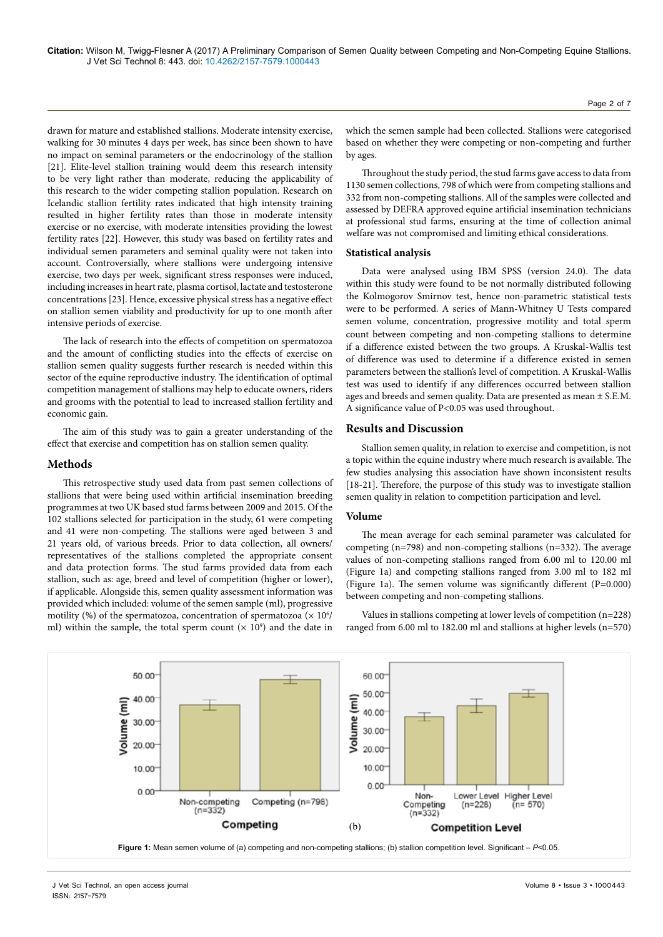**Citation:** Wilson M, Twigg-Flesner A (2017) A Preliminary Comparison of Semen Quality between Competing and Non-Competing Equine Stallions. J Vet Sci Technol 8: 443. doi: 10.4262/2157-7579.1000443

drawn for mature and established stallions. Moderate intensity exercise, walking for 30 minutes 4 days per week, has since been shown to have no impact on seminal parameters or the endocrinology of the stallion [21]. Elite-level stallion training would deem this research intensity to be very light rather than moderate, reducing the applicability of this research to the wider competing stallion population. Research on Icelandic stallion fertility rates indicated that high intensity training resulted in higher fertility rates than those in moderate intensity exercise or no exercise, with moderate intensities providing the lowest fertility rates [22]. However, this study was based on fertility rates and individual semen parameters and seminal quality were not taken into account. Controversially, where stallions were undergoing intensive exercise, two days per week, significant stress responses were induced, including increases in heart rate, plasma cortisol, lactate and testosterone concentrations [23]. Hence, excessive physical stress has a negative effect on stallion semen viability and productivity for up to one month after intensive periods of exercise.

The lack of research into the effects of competition on spermatozoa and the amount of conflicting studies into the effects of exercise on stallion semen quality suggests further research is needed within this sector of the equine reproductive industry. The identification of optimal competition management of stallions may help to educate owners, riders and grooms with the potential to lead to increased stallion fertility and economic gain.

The aim of this study was to gain a greater understanding of the effect that exercise and competition has on stallion semen quality.

### **Methods**

This retrospective study used data from past semen collections of stallions that were being used within artificial insemination breeding programmes at two UK based stud farms between 2009 and 2015. Of the 102 stallions selected for participation in the study, 61 were competing and 41 were non-competing. The stallions were aged between 3 and 21 years old, of various breeds. Prior to data collection, all owners/ representatives of the stallions completed the appropriate consent and data protection forms. The stud farms provided data from each stallion, such as: age, breed and level of competition (higher or lower), if applicable. Alongside this, semen quality assessment information was provided which included: volume of the semen sample (ml), progressive motility (%) of the spermatozoa, concentration of spermatozoa ( $\times$  10 $^6\prime$ ml) within the sample, the total sperm count  $(x 10^9)$  and the date in

which the semen sample had been collected. Stallions were categorised based on whether they were competing or non-competing and further by ages.

Throughout the study period, the stud farms gave access to data from 1130 semen collections, 798 of which were from competing stallions and 332 from non-competing stallions. All of the samples were collected and assessed by DEFRA approved equine artificial insemination technicians at professional stud farms, ensuring at the time of collection animal welfare was not compromised and limiting ethical considerations.

#### **Statistical analysis**

Data were analysed using IBM SPSS (version 24.0). The data within this study were found to be not normally distributed following the Kolmogorov Smirnov test, hence non-parametric statistical tests were to be performed. A series of Mann-Whitney U Tests compared semen volume, concentration, progressive motility and total sperm count between competing and non-competing stallions to determine if a difference existed between the two groups. A Kruskal-Wallis test of difference was used to determine if a difference existed in semen parameters between the stallion's level of competition. A Kruskal-Wallis test was used to identify if any differences occurred between stallion ages and breeds and semen quality. Data are presented as mean ± S.E.M. A significance value of P<0.05 was used throughout.

#### **Results and Discussion**

Stallion semen quality, in relation to exercise and competition, is not a topic within the equine industry where much research is available. The few studies analysing this association have shown inconsistent results [18-21]. Therefore, the purpose of this study was to investigate stallion semen quality in relation to competition participation and level.

#### **Volume**

The mean average for each seminal parameter was calculated for competing (n=798) and non-competing stallions (n=332). The average values of non-competing stallions ranged from 6.00 ml to 120.00 ml (Figure 1a) and competing stallions ranged from 3.00 ml to 182 ml (Figure 1a). The semen volume was significantly different (P=0.000) between competing and non-competing stallions.

Values in stallions competing at lower levels of competition (n=228) ranged from 6.00 ml to 182.00 ml and stallions at higher levels (n=570)

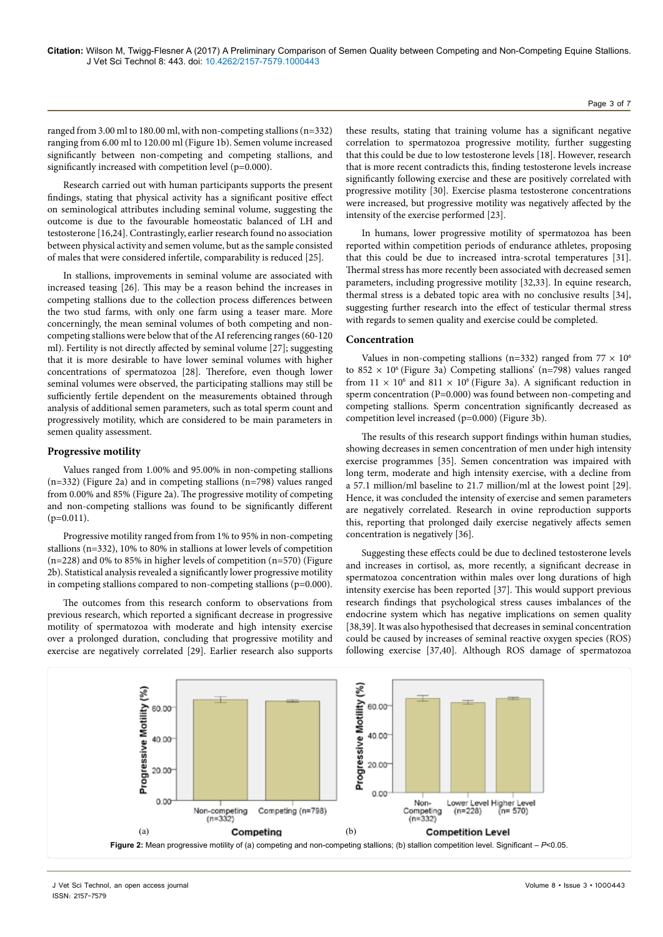ranged from 3.00 ml to 180.00 ml, with non-competing stallions (n=332) ranging from 6.00 ml to 120.00 ml (Figure 1b). Semen volume increased significantly between non-competing and competing stallions, and significantly increased with competition level (p=0.000).

Research carried out with human participants supports the present findings, stating that physical activity has a significant positive effect on seminological attributes including seminal volume, suggesting the outcome is due to the favourable homeostatic balanced of LH and testosterone [16,24]. Contrastingly, earlier research found no association between physical activity and semen volume, but as the sample consisted of males that were considered infertile, comparability is reduced [25].

In stallions, improvements in seminal volume are associated with increased teasing [26]. This may be a reason behind the increases in competing stallions due to the collection process differences between the two stud farms, with only one farm using a teaser mare. More concerningly, the mean seminal volumes of both competing and noncompeting stallions were below that of the AI referencing ranges (60-120 ml). Fertility is not directly affected by seminal volume [27]; suggesting that it is more desirable to have lower seminal volumes with higher concentrations of spermatozoa [28]. Therefore, even though lower seminal volumes were observed, the participating stallions may still be sufficiently fertile dependent on the measurements obtained through analysis of additional semen parameters, such as total sperm count and progressively motility, which are considered to be main parameters in semen quality assessment.

#### **Progressive motility**

Values ranged from 1.00% and 95.00% in non-competing stallions (n=332) (Figure 2a) and in competing stallions (n=798) values ranged from 0.00% and 85% (Figure 2a). The progressive motility of competing and non-competing stallions was found to be significantly different  $(p=0.011)$ .

Progressive motility ranged from from 1% to 95% in non-competing stallions (n=332), 10% to 80% in stallions at lower levels of competition (n=228) and 0% to 85% in higher levels of competition (n=570) (Figure 2b). Statistical analysis revealed a significantly lower progressive motility in competing stallions compared to non-competing stallions  $(p=0.000)$ .

The outcomes from this research conform to observations from previous research, which reported a significant decrease in progressive motility of spermatozoa with moderate and high intensity exercise over a prolonged duration, concluding that progressive motility and exercise are negatively correlated [29]. Earlier research also supports

these results, stating that training volume has a significant negative correlation to spermatozoa progressive motility, further suggesting that this could be due to low testosterone levels [18]. However, research that is more recent contradicts this, finding testosterone levels increase significantly following exercise and these are positively correlated with progressive motility [30]. Exercise plasma testosterone concentrations were increased, but progressive motility was negatively affected by the intensity of the exercise performed [23].

In humans, lower progressive motility of spermatozoa has been reported within competition periods of endurance athletes, proposing that this could be due to increased intra-scrotal temperatures [31]. Thermal stress has more recently been associated with decreased semen parameters, including progressive motility [32,33]. In equine research, thermal stress is a debated topic area with no conclusive results [34], suggesting further research into the effect of testicular thermal stress with regards to semen quality and exercise could be completed.

#### **Concentration**

Values in non-competing stallions (n=332) ranged from  $77 \times 10^6$ to 852  $\times$  10<sup>6</sup> (Figure 3a) Competing stallions' (n=798) values ranged from  $11 \times 10^6$  and  $811 \times 10^6$  (Figure 3a). A significant reduction in sperm concentration (P=0.000) was found between non-competing and competing stallions. Sperm concentration significantly decreased as competition level increased (p=0.000) (Figure 3b).

The results of this research support findings within human studies, showing decreases in semen concentration of men under high intensity exercise programmes [35]. Semen concentration was impaired with long term, moderate and high intensity exercise, with a decline from a 57.1 million/ml baseline to 21.7 million/ml at the lowest point [29]. Hence, it was concluded the intensity of exercise and semen parameters are negatively correlated. Research in ovine reproduction supports this, reporting that prolonged daily exercise negatively affects semen concentration is negatively [36].

Suggesting these effects could be due to declined testosterone levels and increases in cortisol, as, more recently, a significant decrease in spermatozoa concentration within males over long durations of high intensity exercise has been reported [37]. This would support previous research findings that psychological stress causes imbalances of the endocrine system which has negative implications on semen quality [38,39]. It was also hypothesised that decreases in seminal concentration could be caused by increases of seminal reactive oxygen species (ROS) following exercise [37,40]. Although ROS damage of spermatozoa

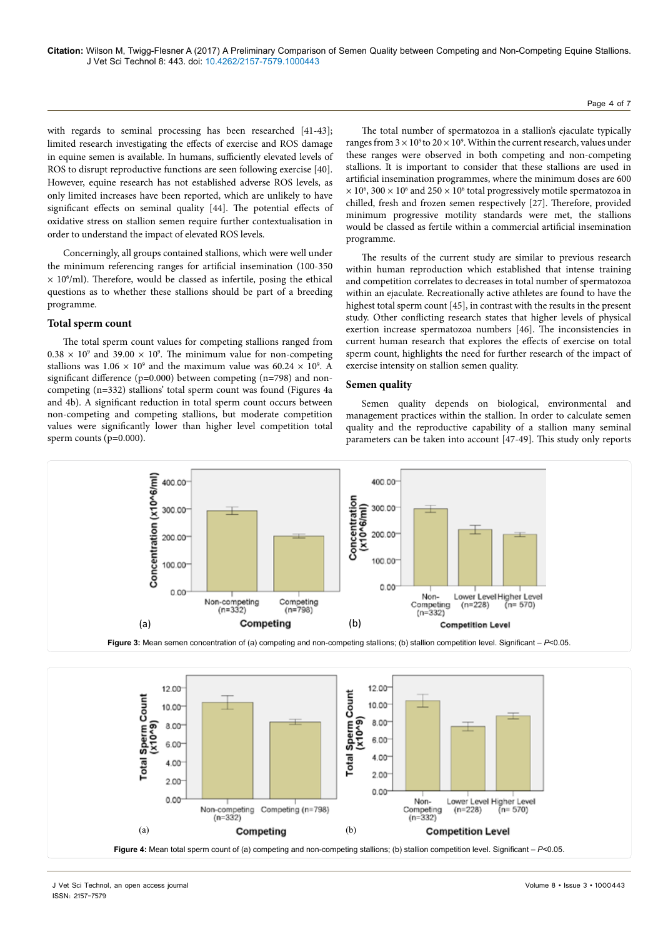with regards to seminal processing has been researched [41-43]; limited research investigating the effects of exercise and ROS damage in equine semen is available. In humans, sufficiently elevated levels of ROS to disrupt reproductive functions are seen following exercise [40]. However, equine research has not established adverse ROS levels, as only limited increases have been reported, which are unlikely to have significant effects on seminal quality [44]. The potential effects of oxidative stress on stallion semen require further contextualisation in order to understand the impact of elevated ROS levels.

Concerningly, all groups contained stallions, which were well under the minimum referencing ranges for artificial insemination (100-350  $\times$  10 $^{\circ}$ /ml). Therefore, would be classed as infertile, posing the ethical questions as to whether these stallions should be part of a breeding programme.

#### **Total sperm count**

The total sperm count values for competing stallions ranged from  $0.38 \times 10^9$  and 39.00  $\times$  10<sup>9</sup>. The minimum value for non-competing stallions was  $1.06 \times 10^9$  and the maximum value was  $60.24 \times 10^9$ . A significant difference (p=0.000) between competing (n=798) and noncompeting (n=332) stallions' total sperm count was found (Figures 4a and 4b). A significant reduction in total sperm count occurs between non-competing and competing stallions, but moderate competition values were significantly lower than higher level competition total sperm counts (p=0.000).

The total number of spermatozoa in a stallion's ejaculate typically ranges from  $3 \times 10^9$  to  $20 \times 10^9$ . Within the current research, values under these ranges were observed in both competing and non-competing stallions. It is important to consider that these stallions are used in artificial insemination programmes, where the minimum doses are 600  $\times$  10<sup>6</sup>, 300  $\times$  10<sup>6</sup> and 250  $\times$  10<sup>6</sup> total progressively motile spermatozoa in chilled, fresh and frozen semen respectively [27]. Therefore, provided minimum progressive motility standards were met, the stallions would be classed as fertile within a commercial artificial insemination programme.

The results of the current study are similar to previous research within human reproduction which established that intense training and competition correlates to decreases in total number of spermatozoa within an ejaculate. Recreationally active athletes are found to have the highest total sperm count [45], in contrast with the results in the present study. Other conflicting research states that higher levels of physical exertion increase spermatozoa numbers [46]. The inconsistencies in current human research that explores the effects of exercise on total sperm count, highlights the need for further research of the impact of exercise intensity on stallion semen quality.

#### **Semen quality**

Semen quality depends on biological, environmental and management practices within the stallion. In order to calculate semen quality and the reproductive capability of a stallion many seminal parameters can be taken into account [47-49]. This study only reports



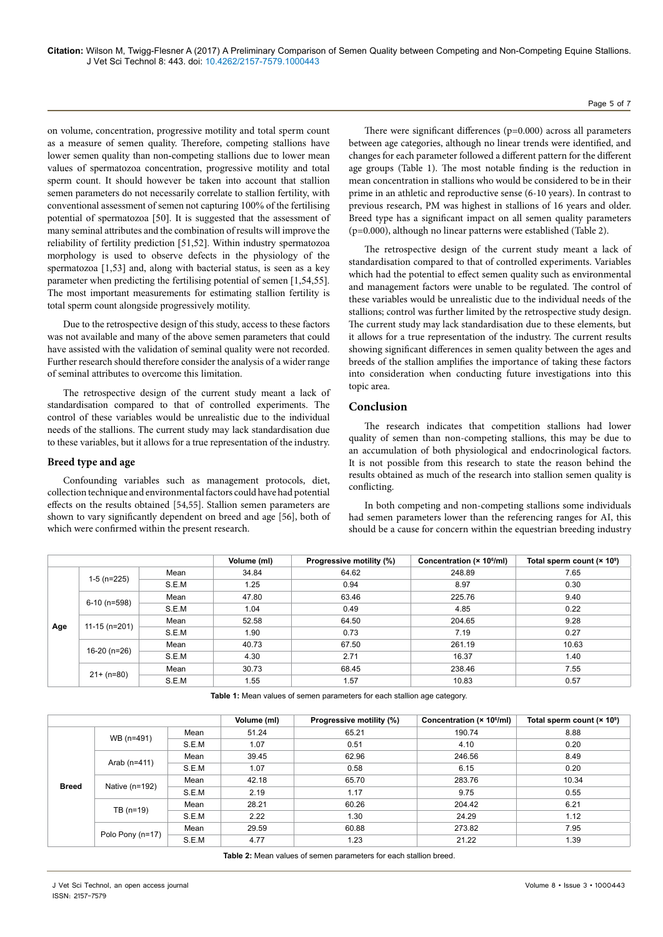on volume, concentration, progressive motility and total sperm count as a measure of semen quality. Therefore, competing stallions have lower semen quality than non-competing stallions due to lower mean values of spermatozoa concentration, progressive motility and total sperm count. It should however be taken into account that stallion semen parameters do not necessarily correlate to stallion fertility, with conventional assessment of semen not capturing 100% of the fertilising potential of spermatozoa [50]. It is suggested that the assessment of many seminal attributes and the combination of results will improve the reliability of fertility prediction [51,52]. Within industry spermatozoa morphology is used to observe defects in the physiology of the spermatozoa [1,53] and, along with bacterial status, is seen as a key parameter when predicting the fertilising potential of semen [1,54,55]. The most important measurements for estimating stallion fertility is total sperm count alongside progressively motility.

Due to the retrospective design of this study, access to these factors was not available and many of the above semen parameters that could have assisted with the validation of seminal quality were not recorded. Further research should therefore consider the analysis of a wider range of seminal attributes to overcome this limitation.

The retrospective design of the current study meant a lack of standardisation compared to that of controlled experiments. The control of these variables would be unrealistic due to the individual needs of the stallions. The current study may lack standardisation due to these variables, but it allows for a true representation of the industry.

#### **Breed type and age**

Confounding variables such as management protocols, diet, collection technique and environmental factors could have had potential effects on the results obtained [54,55]. Stallion semen parameters are shown to vary significantly dependent on breed and age [56], both of which were confirmed within the present research.

There were significant differences (p=0.000) across all parameters between age categories, although no linear trends were identified, and changes for each parameter followed a different pattern for the different age groups (Table 1). The most notable finding is the reduction in mean concentration in stallions who would be considered to be in their prime in an athletic and reproductive sense (6-10 years). In contrast to previous research, PM was highest in stallions of 16 years and older. Breed type has a significant impact on all semen quality parameters (p=0.000), although no linear patterns were established (Table 2).

The retrospective design of the current study meant a lack of standardisation compared to that of controlled experiments. Variables which had the potential to effect semen quality such as environmental and management factors were unable to be regulated. The control of these variables would be unrealistic due to the individual needs of the stallions; control was further limited by the retrospective study design. The current study may lack standardisation due to these elements, but it allows for a true representation of the industry. The current results showing significant differences in semen quality between the ages and breeds of the stallion amplifies the importance of taking these factors into consideration when conducting future investigations into this topic area.

## **Conclusion**

The research indicates that competition stallions had lower quality of semen than non-competing stallions, this may be due to an accumulation of both physiological and endocrinological factors. It is not possible from this research to state the reason behind the results obtained as much of the research into stallion semen quality is conflicting.

In both competing and non-competing stallions some individuals had semen parameters lower than the referencing ranges for AI, this should be a cause for concern within the equestrian breeding industry

|     |                 |       | Volume (ml) | Progressive motility (%) | Concentration (× 10 <sup>6</sup> /ml) | Total sperm count (× 10 <sup>9</sup> ) |
|-----|-----------------|-------|-------------|--------------------------|---------------------------------------|----------------------------------------|
| Age | $1-5$ (n=225)   | Mean  | 34.84       | 64.62                    | 248.89                                | 7.65                                   |
|     |                 | S.E.M | 1.25        | 0.94                     | 8.97                                  | 0.30                                   |
|     | 6-10 (n=598)    | Mean  | 47.80       | 63.46                    | 225.76                                | 9.40                                   |
|     |                 | S.E.M | 1.04        | 0.49                     | 4.85                                  | 0.22                                   |
|     | $11-15$ (n=201) | Mean  | 52.58       | 64.50                    | 204.65                                | 9.28                                   |
|     |                 | S.E.M | 1.90        | 0.73                     | 7.19                                  | 0.27                                   |
|     | 16-20 (n=26)    | Mean  | 40.73       | 67.50                    | 261.19                                | 10.63                                  |
|     |                 | S.E.M | 4.30        | 2.71                     | 16.37                                 | 1.40                                   |
|     | $21+ (n=80)$    | Mean  | 30.73       | 68.45                    | 238.46                                | 7.55                                   |
|     |                 | S.E.M | 1.55        | 1.57                     | 10.83                                 | 0.57                                   |

**Table 1:** Mean values of semen parameters for each stallion age category.

|              |                  |       | Volume (ml) | Progressive motility (%) | Concentration (× 10 <sup>6</sup> /ml) | Total sperm count $(x 10^9)$ |
|--------------|------------------|-------|-------------|--------------------------|---------------------------------------|------------------------------|
|              | WB (n=491)       | Mean  | 51.24       | 65.21                    | 190.74                                | 8.88                         |
|              |                  | S.E.M | 1.07        | 0.51                     | 4.10                                  | 0.20                         |
|              | Arab $(n=411)$   | Mean  | 39.45       | 62.96                    | 246.56                                | 8.49                         |
|              |                  | S.E.M | 1.07        | 0.58                     | 6.15                                  | 0.20                         |
| <b>Breed</b> | Native $(n=192)$ | Mean  | 42.18       | 65.70                    | 283.76                                | 10.34                        |
|              |                  | S.E.M | 2.19        | 1.17                     | 9.75                                  | 0.55                         |
|              |                  | Mean  | 28.21       | 60.26                    | 204.42                                | 6.21                         |
|              | TB $(n=19)$      | S.E.M | 2.22        | 1.30                     | 24.29                                 | 1.12                         |
|              | Polo Pony (n=17) | Mean  | 29.59       | 60.88                    | 273.82                                | 7.95                         |
|              |                  | S.E.M | 4.77        | 1.23                     | 21.22                                 | 1.39                         |

**Table 2:** Mean values of semen parameters for each stallion breed.

Page 5 of 7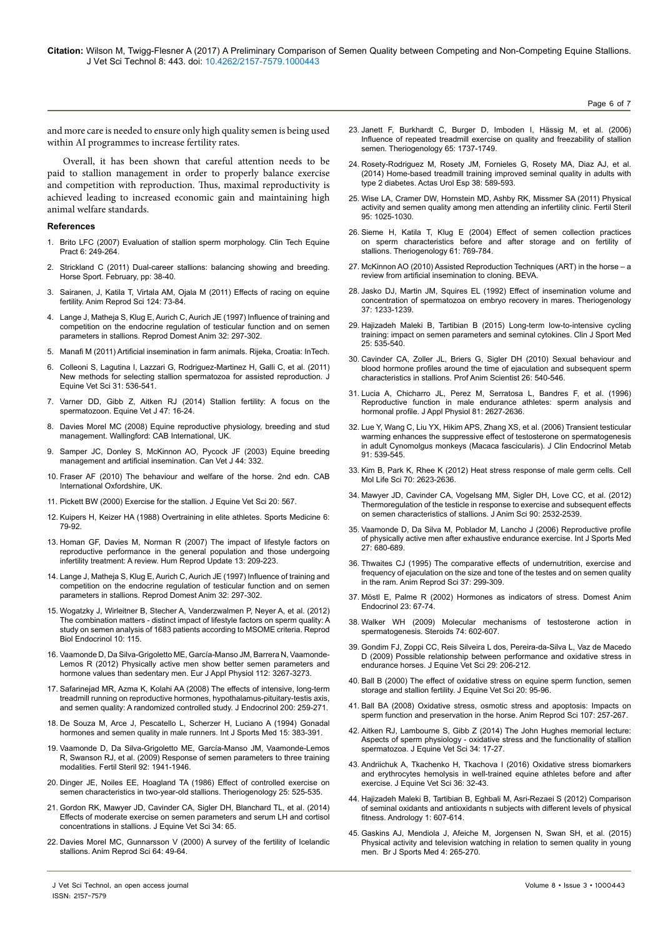Page 6 of 7

and more care is needed to ensure only high quality semen is being used within AI programmes to increase fertility rates.

Overall, it has been shown that careful attention needs to be paid to stallion management in order to properly balance exercise and competition with reproduction. Thus, maximal reproductivity is achieved leading to increased economic gain and maintaining high animal welfare standards.

#### **References**

- 1. [Brito LFC \(2007\) Evaluation of stallion sperm morphology.](http://www.sciencedirect.com/science/article/pii/S1534751607000418) Clin Tech Equine [Pract 6: 249-264.](http://www.sciencedirect.com/science/article/pii/S1534751607000418)
- 2. Strickland C (2011) Dual-career stallions: balancing showing and breeding. Horse Sport. February, pp: 38-40.
- 3. [Sairanen, J, Katila T, Virtala AM, Ojala M \(2011\) Effects of racing on equine](https://doi.org/10.1016/j.anireprosci.2011.02.010) fertility. [Anim Reprod Sci 124: 73-84.](https://doi.org/10.1016/j.anireprosci.2011.02.010)
- 4. [Lange J, Matheja S, Klug E, Aurich C, Aurich JE \(1997\) Influence of training and](http://onlinelibrary.wiley.com/doi/10.1111/j.1439-0531.1997.tb01299.x/full) [competition on the endocrine regulation of testicular function and on semen](http://onlinelibrary.wiley.com/doi/10.1111/j.1439-0531.1997.tb01299.x/full) [parameters in stallions. Reprod Domest Anim 32: 297-302.](http://onlinelibrary.wiley.com/doi/10.1111/j.1439-0531.1997.tb01299.x/full)
- 5. Manafi M (2011) [Artificial insemination in farm animals. Rijeka, Croatia: InTech.](https://www.intechopen.com/books/artificial-insemination-in-farm-animals)
- 6. [Colleoni S, Lagutina I, Lazzari G, Rodriguez-Martinez H, Galli C, et al. \(2011\)](http://www.sciencedirect.com/science/article/pii/S0737080611001018) [New methods for selecting stallion spermatozoa for assisted reproduction.](http://www.sciencedirect.com/science/article/pii/S0737080611001018) J [Equine Vet Sci 31: 536-541.](http://www.sciencedirect.com/science/article/pii/S0737080611001018)
- 7. [Varner DD, Gibb Z, Aitken RJ \(2014\) Stallion fertility: A focus on the](https://doi.org/10.1111/evj.12308) spermatozoon. [Equine Vet J 47: 16-24.](https://doi.org/10.1111/evj.12308)
- 8. [Davies Morel MC \(2008\) Equine reproductive physiology, breeding and stud](https://books.google.co.in/books/about/Equine_Reproductive_Physiology_Breeding.html?id=1WqBj-OgzaAC&redir_esc=y) [management. Wallingford: CAB International, UK.](https://books.google.co.in/books/about/Equine_Reproductive_Physiology_Breeding.html?id=1WqBj-OgzaAC&redir_esc=y)
- 9. [Samper JC, Donley S, McKinnon AO, Pycock JF \(2003\)](http://www.sciencedirect.com/science/book/9781416052340) Equine breeding [management and artificial insemination. Can Vet J 44: 332.](http://www.sciencedirect.com/science/book/9781416052340)
- 10. Fraser AF (2010) [The behaviour and welfare of the horse. 2nd edn. CAB](https://books.google.co.in/books/about/The_Behaviour_and_Welfare_of_the_Horse.html?id=W4Z3ctLEVMcC&redir_esc=y) [International Oxfordshire, UK.](https://books.google.co.in/books/about/The_Behaviour_and_Welfare_of_the_Horse.html?id=W4Z3ctLEVMcC&redir_esc=y)
- 11. Pickett BW (2000) Exercise for the stallion. J Equine Vet Sci 20: 567.
- 12. [Kuipers H, Keizer HA \(1988\) Overtraining in elite athletes.](https://doi.org/10.2165/00007256-198806020-00003) Sports Medicine 6: [79-92.](https://doi.org/10.2165/00007256-198806020-00003)
- 13. [Homan GF, Davies M, Norman R \(2007\) The impact of lifestyle factors on](https://doi.org/10.1093/humupd/dml056) [reproductive performance in the general population and those undergoing](https://doi.org/10.1093/humupd/dml056) infertility treatment: A review. [Hum Reprod Update 13: 209-223.](https://doi.org/10.1093/humupd/dml056)
- 14. [Lange J, Matheja S, Klug E, Aurich C, Aurich JE \(1997\) Influence of training and](http://onlinelibrary.wiley.com/doi/10.1111/j.1439-0531.1997.tb01299.x/full) [competition on the endocrine regulation of testicular function and on semen](http://onlinelibrary.wiley.com/doi/10.1111/j.1439-0531.1997.tb01299.x/full) [parameters in stallions. Reprod Domest Anim 32: 297-302.](http://onlinelibrary.wiley.com/doi/10.1111/j.1439-0531.1997.tb01299.x/full)
- 15. [Wogatzky J, Wirleitner B, Stecher A, Vanderzwalmen P, Neyer A, et al. \(2012\)](https://doi.org/10.1186/1477-7827-10-115) [The combination matters - distinct impact of lifestyle factors on sperm quality: A](https://doi.org/10.1186/1477-7827-10-115) [study on semen analysis of 1683 patients according to MSOME criteria.](https://doi.org/10.1186/1477-7827-10-115) Reprod [Biol Endocrinol 10: 115.](https://doi.org/10.1186/1477-7827-10-115)
- 16. [Vaamonde D, Da Silva-Grigoletto ME, García-Manso JM, Barrera N, Vaamonde-](https://doi.org/10.1007/s00421-011-2304-6)[Lemos R \(2012\) Physically active men show better semen parameters and](https://doi.org/10.1007/s00421-011-2304-6) [hormone values than sedentary men.](https://doi.org/10.1007/s00421-011-2304-6) Eur J Appl Physiol 112: 3267-3273.
- 17. [Safarinejad MR, Azma K, Kolahi AA \(2008\) The effects of intensive, long-term](https://doi.org/10.1677/JOE-08-0477) [treadmill running on reproductive hormones, hypothalamus-pituitary-testis axis,](https://doi.org/10.1677/JOE-08-0477) [and semen quality: A randomized controlled study.](https://doi.org/10.1677/JOE-08-0477) J Endocrinol 200: 259-271.
- 18. [De Souza M, Arce J, Pescatello L, Scherzer H, Luciano A \(1994\) Gonadal](https://doi.org/10.1055/s-2007-1021075) [hormones and semen quality in male runners.](https://doi.org/10.1055/s-2007-1021075) Int J Sports Med 15: 383-391.
- 19. [Vaamonde D, Da Silva-Grigoletto ME, García-Manso JM, Vaamonde-Lemos](https://doi.org/10.1016/j.fertnstert.2008.09.010) [R, Swanson RJ, et al. \(2009\) Response of semen parameters to three training](https://doi.org/10.1016/j.fertnstert.2008.09.010) modalities. [Fertil Steril 92: 1941-1946.](https://doi.org/10.1016/j.fertnstert.2008.09.010)
- 20. [Dinger JE, Noiles EE, Hoagland TA \(1986\) Effect of controlled exercise on](http://www.sciencedirect.com/science/article/pii/0093691X86901366) [semen characteristics in two-year-old stallions. Theriogenology 25: 525-535.](http://www.sciencedirect.com/science/article/pii/0093691X86901366)
- 21. [Gordon RK, Mawyer JD, Cavinder CA, Sigler DH, Blanchard TL, et al. \(2014\)](http://dx.doi.org/10.1016/j.jevs.2013.10.040) [Effects of moderate exercise on semen parameters and serum LH and cortisol](http://dx.doi.org/10.1016/j.jevs.2013.10.040) [concentrations in stallions.](http://dx.doi.org/10.1016/j.jevs.2013.10.040) J Equine Vet Sci 34: 65.
- 22. [Davies Morel MC, Gunnarsson V \(2000\) A survey of the fertility of Icelandic](http://www.sciencedirect.com/science/article/pii/S0378432000001925) stallions. [Anim Reprod Sci 64: 49-64.](http://www.sciencedirect.com/science/article/pii/S0378432000001925)
- 23. [Janett F, Burkhardt C, Burger D, Imboden I, Hässig M, et al. \(2006\)](http://www.sciencedirect.com/science/article/pii/S0093691X05004073)  [Influence of repeated treadmill exercise on quality and freezability of stallion](http://www.sciencedirect.com/science/article/pii/S0093691X05004073)  semen. [Theriogenology 65: 1737-1749.](http://www.sciencedirect.com/science/article/pii/S0093691X05004073)
- 24. [Rosety-Rodriguez M, Rosety JM, Fornieles G, Rosety MA, Diaz AJ, et al.](https://doi.org/10.1016/j.acuro.2013.10.013)  [\(2014\) Home-based treadmill training improved seminal quality in adults with](https://doi.org/10.1016/j.acuro.2013.10.013)  type 2 diabetes. [Actas Urol Esp 38: 589-593.](https://doi.org/10.1016/j.acuro.2013.10.013)
- 25. [Wise LA, Cramer DW, Hornstein MD, Ashby RK, Missmer SA \(2011\) Physical](https://doi.org/10.1016/j.fertnstert.2010.11.006)  [activity and semen quality among men attending an infertility clinic.](https://doi.org/10.1016/j.fertnstert.2010.11.006) Fertil Steril [95: 1025-1030.](https://doi.org/10.1016/j.fertnstert.2010.11.006)
- 26. [Sieme H, Katila T, Klug E \(2004\) Effect of semen collection practices](https://linkinghub.elsevier.com/retrieve/pii/S0093691X03002516)  [on sperm characteristics before and after storage and on fertility of](https://linkinghub.elsevier.com/retrieve/pii/S0093691X03002516)  stallions. [Theriogenology 61: 769-784.](https://linkinghub.elsevier.com/retrieve/pii/S0093691X03002516)
- 27. McKinnon AO (2010) Assisted Reproduction Techniques (ART) in the horse a review from artificial insemination to cloning. BEVA.
- 28. [Jasko DJ, Martin JM, Squires EL \(1992\) Effect of insemination volume and](http://www.sciencedirect.com/science/article/pii/0093691X9290179U)  [concentration of spermatozoa on embryo recovery in mares.](http://www.sciencedirect.com/science/article/pii/0093691X9290179U) Theriogenology [37: 1233-1239.](http://www.sciencedirect.com/science/article/pii/0093691X9290179U)
- 29. [Hajizadeh Maleki B, Tartibian B \(2015\) Long-term low-to-intensive cycling](https://doi.org/10.1097/JSM.0000000000000122)  [training: impact on semen parameters and seminal cytokines.](https://doi.org/10.1097/JSM.0000000000000122) Clin J Sport Med [25: 535-540.](https://doi.org/10.1097/JSM.0000000000000122)
- 30. [Cavinder CA, Zoller JL, Briers G, Sigler DH \(2010\) Sexual behaviour and](http://www.sciencedirect.com/science/article/pii/S1080744615306434)  [blood hormone profiles around the time of ejaculation and subsequent sperm](http://www.sciencedirect.com/science/article/pii/S1080744615306434)  characteristics in stallions. [Prof Anim Scientist 26: 540-546.](http://www.sciencedirect.com/science/article/pii/S1080744615306434)
- 31. [Lucia A, Chicharro JL, Perez M, Serratosa L, Bandres F, et al. \(1996\)](http://jap.physiology.org/cgi/pmidlookup?view=long&pmid=9018515)  [Reproductive function in male endurance athletes: sperm analysis and](http://jap.physiology.org/cgi/pmidlookup?view=long&pmid=9018515)  [hormonal profile. J Appl Physiol 81: 2627-2636.](http://jap.physiology.org/cgi/pmidlookup?view=long&pmid=9018515)
- 32. [Lue Y, Wang C, Liu YX, Hikim APS, Zhang XS, et al. \(2006\) Transient testicular](http://press.endocrine.org/doi/abs/10.1210/jc.2005-1808)  [warming enhances the suppressive effect of testosterone on spermatogenesis](http://press.endocrine.org/doi/abs/10.1210/jc.2005-1808)  [in adult Cynomolgus monkeys \(Macaca fascicularis\). J Clin Endocrinol Metab](http://press.endocrine.org/doi/abs/10.1210/jc.2005-1808)  [91: 539-545.](http://press.endocrine.org/doi/abs/10.1210/jc.2005-1808)
- 33. [Kim B, Park K, Rhee K \(2012\) Heat stress response of male germ cells.](https://doi.org/10.1007/s00018-012-1165-4) Cell [Mol Life Sci 70: 2623-2636.](https://doi.org/10.1007/s00018-012-1165-4)
- 34. [Mawyer JD, Cavinder CA, Vogelsang MM, Sigler DH, Love CC, et al. \(2012\)](https://doi.org/10.2527/jas.2011-4543)  [Thermoregulation of the testicle in response to exercise and subsequent effects](https://doi.org/10.2527/jas.2011-4543)  [on semen characteristics of stallions. J Anim Sci 90: 2532-2539.](https://doi.org/10.2527/jas.2011-4543)
- 35. [Vaamonde D, Da Silva M, Poblador M, Lancho J \(2006\) Reproductive profile](https://doi.org/10.1055/s-2005-872906)  [of physically active men after exhaustive endurance exercise.](https://doi.org/10.1055/s-2005-872906) Int J Sports Med [27: 680-689.](https://doi.org/10.1055/s-2005-872906)
- 36. [Thwaites CJ \(1995\) The comparative effects of undernutrition, exercise and](http://www.sciencedirect.com/science/article/pii/037843209401343K)  [frequency of ejaculation on the size and tone of the testes and on semen quality](http://www.sciencedirect.com/science/article/pii/037843209401343K)  in the ram. [Anim Reprod Sci 37: 299-309.](http://www.sciencedirect.com/science/article/pii/037843209401343K)
- 37. [Möstl E, Palme R \(2002\) Hormones as indicators of stress. Domest Anim](http://dx.doi.org/10.1016/S0739-7240(02)00146-7)  [Endocrinol 23: 67-74.](http://dx.doi.org/10.1016/S0739-7240(02)00146-7)
- 38. [Walker WH \(2009\) Molecular mechanisms of testosterone action in](http://www.sciencedirect.com/science/article/pii/S0039128X08002961)  spermatogenesis. [Steroids 74: 602-607.](http://www.sciencedirect.com/science/article/pii/S0039128X08002961)
- 39. [Gondim FJ, Zoppi CC, Reis Silveira L dos, Pereira-da-Silva L, Vaz de Macedo](http://www.sciencedirect.com/science/article/pii/S0737080609000355)  [D \(2009\) Possible relationship between performance and oxidative stress in](http://www.sciencedirect.com/science/article/pii/S0737080609000355)  endurance horses. [J Equine Vet Sci 29: 206-212.](http://www.sciencedirect.com/science/article/pii/S0737080609000355)
- 40. [Ball B \(2000\) The effect of oxidative stress on equine sperm function, semen](http://dx.doi.org/10.1016/S0737-0806(00)80446-3)  storage and stallion fertility. [J Equine Vet Sci 20: 95-96.](http://dx.doi.org/10.1016/S0737-0806(00)80446-3)
- 41. [Ball BA \(2008\) Oxidative stress, osmotic stress and apoptosis: Impacts on](https://doi.org/10.1016/j.anireprosci.2008.04.014)  [sperm function and preservation in the horse.](https://doi.org/10.1016/j.anireprosci.2008.04.014) Anim Reprod Sci 107: 257-267.
- 42. [Aitken RJ, Lambourne S, Gibb Z \(2014\) The John Hughes memorial lecture:](http://www.sciencedirect.com/science/article/pii/S0737080613007545)  [Aspects of sperm physiology - oxidative stress and the functionality of stallion](http://www.sciencedirect.com/science/article/pii/S0737080613007545)  spermatozoa. [J Equine Vet Sci 34: 17-27.](http://www.sciencedirect.com/science/article/pii/S0737080613007545)
- 43. [Andriichuk A, Tkachenko H, Tkachova I \(2016\) Oxidative stress biomarkers](http://www.sciencedirect.com/science/article/pii/S0737080615005900)  [and erythrocytes hemolysis in well-trained equine athletes before and after](http://www.sciencedirect.com/science/article/pii/S0737080615005900)  exercise. [J Equine Vet Sci 36: 32-43.](http://www.sciencedirect.com/science/article/pii/S0737080615005900)
- 44. [Hajizadeh Maleki B, Tartibian B, Eghbali M, Asri-Rezaei S \(2012\) Comparison](https://doi.org/10.1111/j.2047-2927.2012.00023.x)  [of seminal oxidants and antioxidants n subjects with different levels of physical](https://doi.org/10.1111/j.2047-2927.2012.00023.x)  [fitness. Andrology 1: 607-614.](https://doi.org/10.1111/j.2047-2927.2012.00023.x)
- 45. [Gaskins AJ, Mendiola J, Afeiche M, Jorgensen N, Swan SH, et al. \(2015\)](https://doi.org/10.1136/bjsports-2012-091644)  [Physical activity and television watching in relation to semen quality in young](https://doi.org/10.1136/bjsports-2012-091644)  [men. Br J Sports Med 4: 265-270.](https://doi.org/10.1136/bjsports-2012-091644)